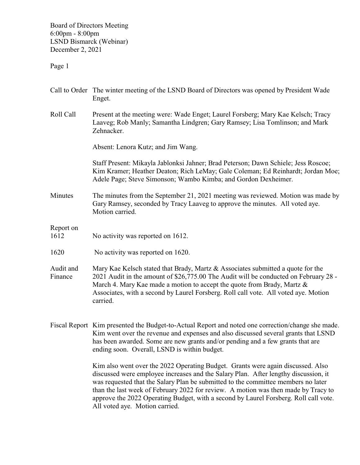Board of Directors Meeting 6:00pm - 8:00pm LSND Bismarck (Webinar) December 2, 2021

Page 1

|                      | Call to Order The winter meeting of the LSND Board of Directors was opened by President Wade<br>Enget.                                                                                                                                                                                                                                                |
|----------------------|-------------------------------------------------------------------------------------------------------------------------------------------------------------------------------------------------------------------------------------------------------------------------------------------------------------------------------------------------------|
| Roll Call            | Present at the meeting were: Wade Enget; Laurel Forsberg; Mary Kae Kelsch; Tracy<br>Laaveg; Rob Manly; Samantha Lindgren; Gary Ramsey; Lisa Tomlinson; and Mark<br>Zehnacker.                                                                                                                                                                         |
|                      | Absent: Lenora Kutz; and Jim Wang.                                                                                                                                                                                                                                                                                                                    |
|                      | Staff Present: Mikayla Jablonksi Jahner; Brad Peterson; Dawn Schiele; Jess Roscoe;<br>Kim Kramer; Heather Deaton; Rich LeMay; Gale Coleman; Ed Reinhardt; Jordan Moe;<br>Adele Page; Steve Simonson; Wambo Kimba; and Gordon Dexheimer.                                                                                                               |
| Minutes              | The minutes from the September 21, 2021 meeting was reviewed. Motion was made by<br>Gary Ramsey, seconded by Tracy Laaveg to approve the minutes. All voted aye.<br>Motion carried.                                                                                                                                                                   |
| Report on<br>1612    | No activity was reported on 1612.                                                                                                                                                                                                                                                                                                                     |
| 1620                 | No activity was reported on 1620.                                                                                                                                                                                                                                                                                                                     |
| Audit and<br>Finance | Mary Kae Kelsch stated that Brady, Martz & Associates submitted a quote for the<br>2021 Audit in the amount of \$26,775.00 The Audit will be conducted on February 28 -<br>March 4. Mary Kae made a motion to accept the quote from Brady, Martz &<br>Associates, with a second by Laurel Forsberg. Roll call vote. All voted aye. Motion<br>carried. |
|                      | Fiscal Report Kim presented the Budget-to-Actual Report and noted one correction/change she made.<br>Kim went over the revenue and expenses and also discussed several grants that LSND<br>has been awarded. Some are new grants and/or pending and a few grants that are<br>ending soon. Overall, LSND is within budget.                             |
|                      | Kim also went over the 2022 Operating Budget. Grants were again discussed. Also<br>discussed were employee increases and the Salary Plan. After lengthy discussion, it<br>was requested that the Salary Plan be submitted to the committee members no later<br>than the last week of February 2022 for review. A motion was then made by Tracy to     |

approve the 2022 Operating Budget, with a second by Laurel Forsberg. Roll call vote.

All voted aye. Motion carried.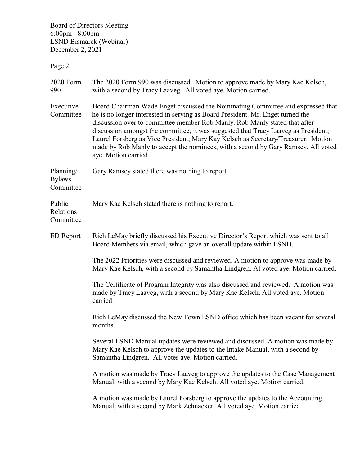Board of Directors Meeting 6:00pm - 8:00pm LSND Bismarck (Webinar) December 2, 2021

Page 2

| 2020 Form<br>990                        | The 2020 Form 990 was discussed. Motion to approve made by Mary Kae Kelsch,<br>with a second by Tracy Laaveg. All voted aye. Motion carried.                                                                                                                                                                                                                                                                                                                                                                                            |
|-----------------------------------------|-----------------------------------------------------------------------------------------------------------------------------------------------------------------------------------------------------------------------------------------------------------------------------------------------------------------------------------------------------------------------------------------------------------------------------------------------------------------------------------------------------------------------------------------|
| Executive<br>Committee                  | Board Chairman Wade Enget discussed the Nominating Committee and expressed that<br>he is no longer interested in serving as Board President. Mr. Enget turned the<br>discussion over to committee member Rob Manly. Rob Manly stated that after<br>discussion amongst the committee, it was suggested that Tracy Laaveg as President;<br>Laurel Forsberg as Vice President; Mary Kay Kelsch as Secretary/Treasurer. Motion<br>made by Rob Manly to accept the nominees, with a second by Gary Ramsey. All voted<br>aye. Motion carried. |
| Planning/<br><b>Bylaws</b><br>Committee | Gary Ramsey stated there was nothing to report.                                                                                                                                                                                                                                                                                                                                                                                                                                                                                         |
| Public<br>Relations<br>Committee        | Mary Kae Kelsch stated there is nothing to report.                                                                                                                                                                                                                                                                                                                                                                                                                                                                                      |
| <b>ED</b> Report                        | Rich LeMay briefly discussed his Executive Director's Report which was sent to all<br>Board Members via email, which gave an overall update within LSND.                                                                                                                                                                                                                                                                                                                                                                                |
|                                         | The 2022 Priorities were discussed and reviewed. A motion to approve was made by<br>Mary Kae Kelsch, with a second by Samantha Lindgren. Al voted aye. Motion carried.                                                                                                                                                                                                                                                                                                                                                                  |
|                                         | The Certificate of Program Integrity was also discussed and reviewed. A motion was<br>made by Tracy Laaveg, with a second by Mary Kae Kelsch. All voted aye. Motion<br>carried.                                                                                                                                                                                                                                                                                                                                                         |
|                                         | Rich LeMay discussed the New Town LSND office which has been vacant for several<br>months.                                                                                                                                                                                                                                                                                                                                                                                                                                              |
|                                         | Several LSND Manual updates were reviewed and discussed. A motion was made by<br>Mary Kae Kelsch to approve the updates to the Intake Manual, with a second by<br>Samantha Lindgren. All votes aye. Motion carried.                                                                                                                                                                                                                                                                                                                     |
|                                         | A motion was made by Tracy Laaveg to approve the updates to the Case Management<br>Manual, with a second by Mary Kae Kelsch. All voted aye. Motion carried.                                                                                                                                                                                                                                                                                                                                                                             |
|                                         | A motion was made by Laurel Forsberg to approve the updates to the Accounting<br>Manual, with a second by Mark Zehnacker. All voted aye. Motion carried.                                                                                                                                                                                                                                                                                                                                                                                |